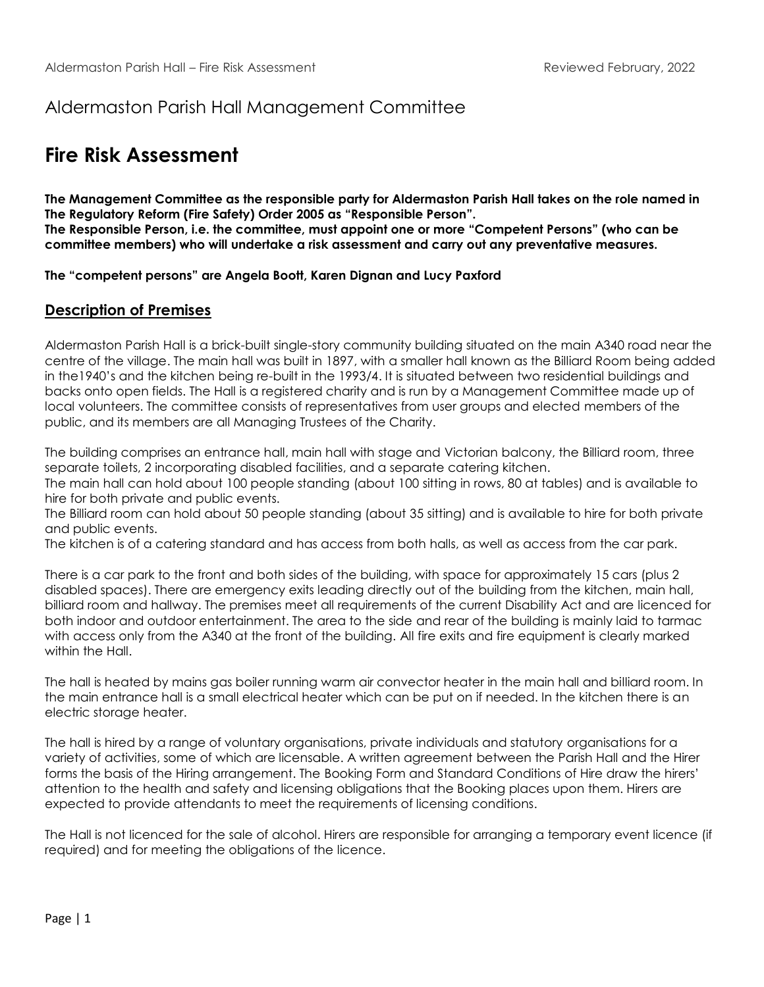## Aldermaston Parish Hall Management Committee

# **Fire Risk Assessment**

**The Management Committee as the responsible party for Aldermaston Parish Hall takes on the role named in The Regulatory Reform (Fire Safety) Order 2005 as "Responsible Person". The Responsible Person, i.e. the committee, must appoint one or more "Competent Persons" (who can be committee members) who will undertake a risk assessment and carry out any preventative measures.**

**The "competent persons" are Angela Boott, Karen Dignan and Lucy Paxford**

#### **Description of Premises**

Aldermaston Parish Hall is a brick-built single-story community building situated on the main A340 road near the centre of the village. The main hall was built in 1897, with a smaller hall known as the Billiard Room being added in the1940's and the kitchen being re-built in the 1993/4. It is situated between two residential buildings and backs onto open fields. The Hall is a registered charity and is run by a Management Committee made up of local volunteers. The committee consists of representatives from user groups and elected members of the public, and its members are all Managing Trustees of the Charity.

The building comprises an entrance hall, main hall with stage and Victorian balcony, the Billiard room, three separate toilets, 2 incorporating disabled facilities, and a separate catering kitchen.

The main hall can hold about 100 people standing (about 100 sitting in rows, 80 at tables) and is available to hire for both private and public events.

The Billiard room can hold about 50 people standing (about 35 sitting) and is available to hire for both private and public events.

The kitchen is of a catering standard and has access from both halls, as well as access from the car park.

There is a car park to the front and both sides of the building, with space for approximately 15 cars (plus 2 disabled spaces). There are emergency exits leading directly out of the building from the kitchen, main hall, billiard room and hallway. The premises meet all requirements of the current Disability Act and are licenced for both indoor and outdoor entertainment. The area to the side and rear of the building is mainly laid to tarmac with access only from the A340 at the front of the building. All fire exits and fire equipment is clearly marked within the Hall.

The hall is heated by mains gas boiler running warm air convector heater in the main hall and billiard room. In the main entrance hall is a small electrical heater which can be put on if needed. In the kitchen there is an electric storage heater.

The hall is hired by a range of voluntary organisations, private individuals and statutory organisations for a variety of activities, some of which are licensable. A written agreement between the Parish Hall and the Hirer forms the basis of the Hiring arrangement. The Booking Form and Standard Conditions of Hire draw the hirers' attention to the health and safety and licensing obligations that the Booking places upon them. Hirers are expected to provide attendants to meet the requirements of licensing conditions.

The Hall is not licenced for the sale of alcohol. Hirers are responsible for arranging a temporary event licence (if required) and for meeting the obligations of the licence.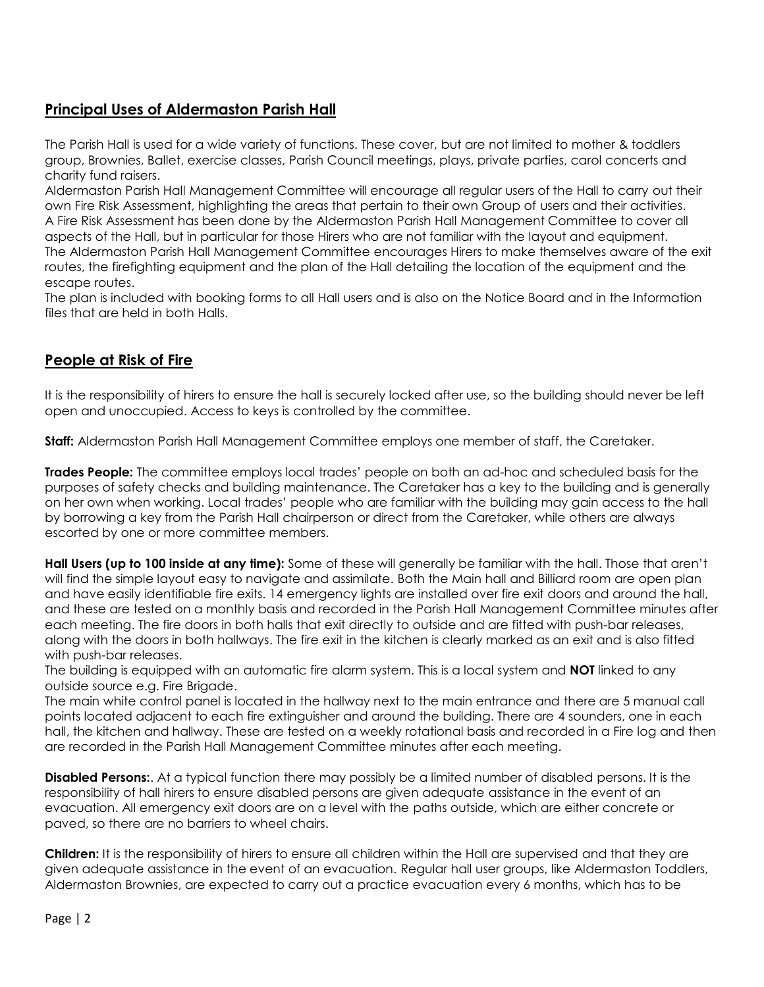### **Principal Uses of Aldermaston Parish Hall**

The Parish Hall is used for a wide variety of functions. These cover, but are not limited to mother & toddlers group, Brownies, Ballet, exercise classes, Parish Council meetings, plays, private parties, carol concerts and charity fund raisers.

Aldermaston Parish Hall Management Committee will encourage all regular users of the Hall to carry out their own Fire Risk Assessment, highlighting the areas that pertain to their own Group of users and their activities. A Fire Risk Assessment has been done by the Aldermaston Parish Hall Management Committee to cover all aspects of the Hall, but in particular for those Hirers who are not familiar with the layout and equipment. The Aldermaston Parish Hall Management Committee encourages Hirers to make themselves aware of the exit routes, the firefighting equipment and the plan of the Hall detailing the location of the equipment and the escape routes.

The plan is included with booking forms to all Hall users and is also on the Notice Board and in the Information files that are held in both Halls.

#### **People at Risk of Fire**

It is the responsibility of hirers to ensure the hall is securely locked after use, so the building should never be left open and unoccupied. Access to keys is controlled by the committee.

**Staff:** Aldermaston Parish Hall Management Committee employs one member of staff, the Caretaker.

**Trades People:** The committee employs local trades' people on both an ad-hoc and scheduled basis for the purposes of safety checks and building maintenance. The Caretaker has a key to the building and is generally on her own when working. Local trades' people who are familiar with the building may gain access to the hall by borrowing a key from the Parish Hall chairperson or direct from the Caretaker, while others are always escorted by one or more committee members.

**Hall Users (up to 100 inside at any time):** Some of these will generally be familiar with the hall. Those that aren't will find the simple layout easy to navigate and assimilate. Both the Main hall and Billiard room are open plan and have easily identifiable fire exits. 14 emergency lights are installed over fire exit doors and around the hall, and these are tested on a monthly basis and recorded in the Parish Hall Management Committee minutes after each meeting. The fire doors in both halls that exit directly to outside and are fitted with push-bar releases, along with the doors in both hallways. The fire exit in the kitchen is clearly marked as an exit and is also fitted with push-bar releases.

The building is equipped with an automatic fire alarm system. This is a local system and **NOT** linked to any outside source e.g. Fire Brigade.

The main white control panel is located in the hallway next to the main entrance and there are 5 manual call points located adjacent to each fire extinguisher and around the building. There are 4 sounders, one in each hall, the kitchen and hallway. These are tested on a weekly rotational basis and recorded in a Fire log and then are recorded in the Parish Hall Management Committee minutes after each meeting.

**Disabled Persons:**. At a typical function there may possibly be a limited number of disabled persons. It is the responsibility of hall hirers to ensure disabled persons are given adequate assistance in the event of an evacuation. All emergency exit doors are on a level with the paths outside, which are either concrete or paved, so there are no barriers to wheel chairs.

**Children:** It is the responsibility of hirers to ensure all children within the Hall are supervised and that they are given adequate assistance in the event of an evacuation. Regular hall user groups, like Aldermaston Toddlers, Aldermaston Brownies, are expected to carry out a practice evacuation every 6 months, which has to be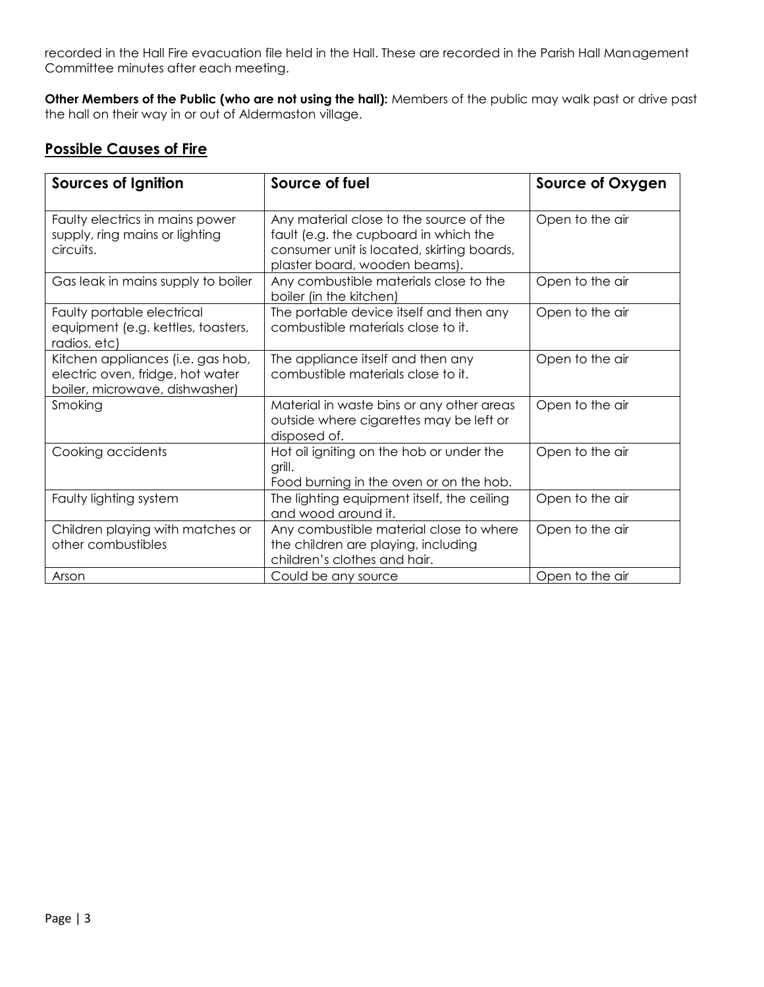recorded in the Hall Fire evacuation file held in the Hall. These are recorded in the Parish Hall Management Committee minutes after each meeting.

**Other Members of the Public (who are not using the hall):** Members of the public may walk past or drive past the hall on their way in or out of Aldermaston village.

## **Possible Causes of Fire**

| <b>Sources of Ignition</b>                                                                              | Source of fuel                                                                                                                                                  | Source of Oxygen |  |
|---------------------------------------------------------------------------------------------------------|-----------------------------------------------------------------------------------------------------------------------------------------------------------------|------------------|--|
| Faulty electrics in mains power<br>supply, ring mains or lighting<br>circuits.                          | Any material close to the source of the<br>fault (e.g. the cupboard in which the<br>consumer unit is located, skirting boards,<br>plaster board, wooden beams). | Open to the air  |  |
| Gas leak in mains supply to boiler                                                                      | Any combustible materials close to the<br>boiler (in the kitchen)                                                                                               | Open to the air  |  |
| Faulty portable electrical<br>equipment (e.g. kettles, toasters,<br>radios, etc)                        | The portable device itself and then any<br>combustible materials close to it.                                                                                   | Open to the air  |  |
| Kitchen appliances (i.e. gas hob,<br>electric oven, fridge, hot water<br>boiler, microwave, dishwasher) | The appliance itself and then any<br>combustible materials close to it.                                                                                         | Open to the air  |  |
| Smoking                                                                                                 | Material in waste bins or any other areas<br>outside where cigarettes may be left or<br>disposed of.                                                            | Open to the air  |  |
| Cooking accidents                                                                                       | Hot oil igniting on the hob or under the<br>grill.<br>Food burning in the oven or on the hob.                                                                   | Open to the air  |  |
| The lighting equipment itself, the ceiling<br>Faulty lighting system<br>and wood around it.             |                                                                                                                                                                 | Open to the air  |  |
| Children playing with matches or<br>other combustibles                                                  | Any combustible material close to where<br>the children are playing, including<br>children's clothes and hair.                                                  | Open to the air  |  |
| Arson                                                                                                   | Could be any source                                                                                                                                             | Open to the air  |  |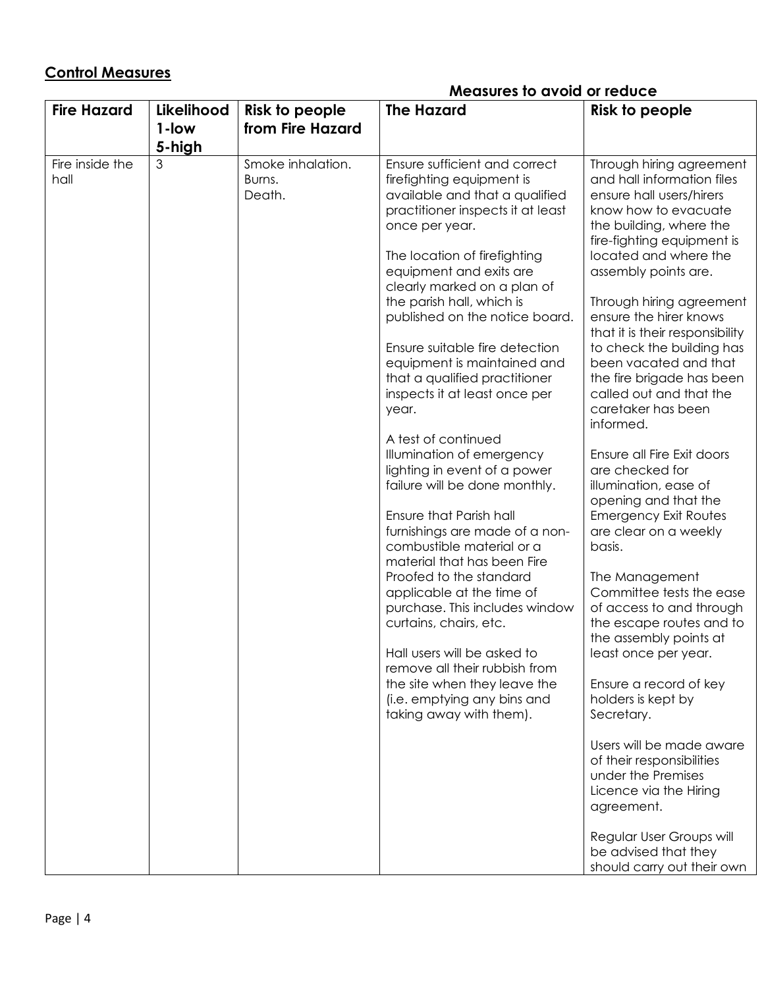## **Control Measures**

## **Measures to avoid or reduce**

| <b>Fire Hazard</b>      | Likelihood<br>1-low | Risk to people<br>from Fire Hazard    | <b>The Hazard</b>                                                                                                                                                                                                                                                                                                                                                                                                                                                                                                                                                                                                                                                                                                                                                                                                                                                                                                                                                                    | <b>Risk to people</b>                                                                                                                                                                                                                                                                                                                                                                                                                                                                                                                                                                                                                                                                                                                                                                                                                                                                                                                                                                                                                |
|-------------------------|---------------------|---------------------------------------|--------------------------------------------------------------------------------------------------------------------------------------------------------------------------------------------------------------------------------------------------------------------------------------------------------------------------------------------------------------------------------------------------------------------------------------------------------------------------------------------------------------------------------------------------------------------------------------------------------------------------------------------------------------------------------------------------------------------------------------------------------------------------------------------------------------------------------------------------------------------------------------------------------------------------------------------------------------------------------------|--------------------------------------------------------------------------------------------------------------------------------------------------------------------------------------------------------------------------------------------------------------------------------------------------------------------------------------------------------------------------------------------------------------------------------------------------------------------------------------------------------------------------------------------------------------------------------------------------------------------------------------------------------------------------------------------------------------------------------------------------------------------------------------------------------------------------------------------------------------------------------------------------------------------------------------------------------------------------------------------------------------------------------------|
|                         | 5-high              |                                       |                                                                                                                                                                                                                                                                                                                                                                                                                                                                                                                                                                                                                                                                                                                                                                                                                                                                                                                                                                                      |                                                                                                                                                                                                                                                                                                                                                                                                                                                                                                                                                                                                                                                                                                                                                                                                                                                                                                                                                                                                                                      |
| Fire inside the<br>hall | 3                   | Smoke inhalation.<br>Burns.<br>Death. | Ensure sufficient and correct<br>firefighting equipment is<br>available and that a qualified<br>practitioner inspects it at least<br>once per year.<br>The location of firefighting<br>equipment and exits are<br>clearly marked on a plan of<br>the parish hall, which is<br>published on the notice board.<br>Ensure suitable fire detection<br>equipment is maintained and<br>that a qualified practitioner<br>inspects it at least once per<br>year.<br>A test of continued<br>Illumination of emergency<br>lighting in event of a power<br>failure will be done monthly.<br>Ensure that Parish hall<br>furnishings are made of a non-<br>combustible material or a<br>material that has been Fire<br>Proofed to the standard<br>applicable at the time of<br>purchase. This includes window<br>curtains, chairs, etc.<br>Hall users will be asked to<br>remove all their rubbish from<br>the site when they leave the<br>(i.e. emptying any bins and<br>taking away with them). | Through hiring agreement<br>and hall information files<br>ensure hall users/hirers<br>know how to evacuate<br>the building, where the<br>fire-fighting equipment is<br>located and where the<br>assembly points are.<br>Through hiring agreement<br>ensure the hirer knows<br>that it is their responsibility<br>to check the building has<br>been vacated and that<br>the fire brigade has been<br>called out and that the<br>caretaker has been<br>informed.<br>Ensure all Fire Exit doors<br>are checked for<br>illumination, ease of<br>opening and that the<br><b>Emergency Exit Routes</b><br>are clear on a weekly<br>basis.<br>The Management<br>Committee tests the ease<br>of access to and through<br>the escape routes and to<br>the assembly points at<br>least once per year.<br>Ensure a record of key<br>holders is kept by<br>Secretary.<br>Users will be made aware<br>of their responsibilities<br>under the Premises<br>Licence via the Hiring<br>agreement.<br>Regular User Groups will<br>be advised that they |
|                         |                     |                                       |                                                                                                                                                                                                                                                                                                                                                                                                                                                                                                                                                                                                                                                                                                                                                                                                                                                                                                                                                                                      | should carry out their own                                                                                                                                                                                                                                                                                                                                                                                                                                                                                                                                                                                                                                                                                                                                                                                                                                                                                                                                                                                                           |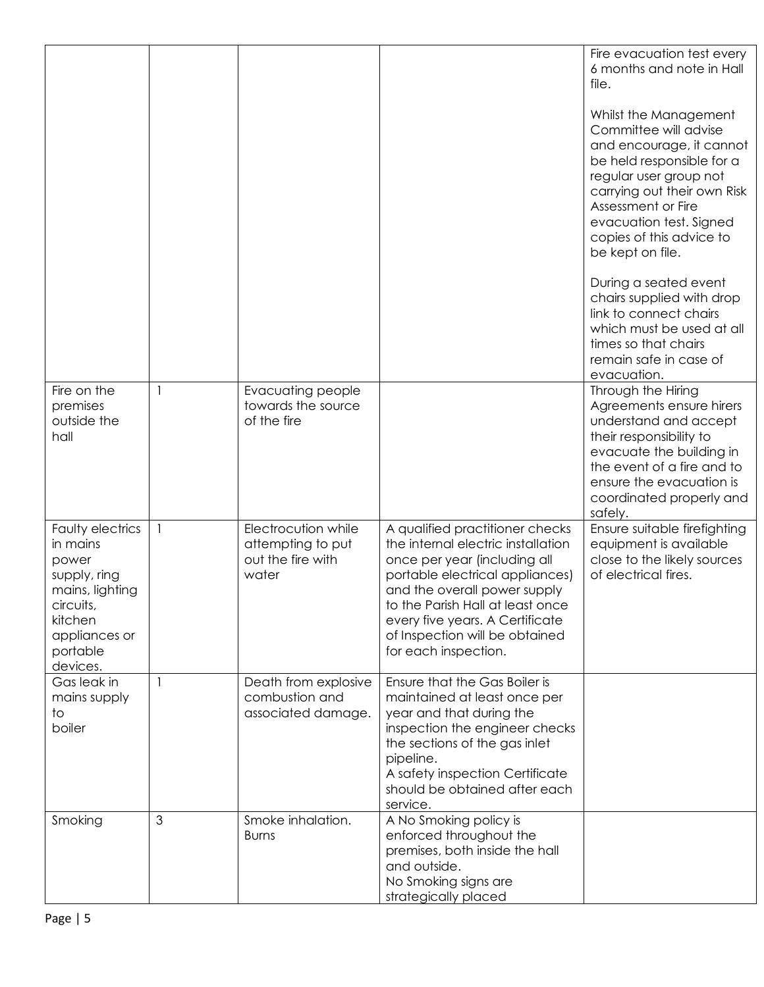|                                                                                                                                           |   |                                                                        |                                                                                                                                                                                                                                                                                                           | Fire evacuation test every<br>6 months and note in Hall<br>file.<br>Whilst the Management<br>Committee will advise<br>and encourage, it cannot<br>be held responsible for a<br>regular user group not<br>carrying out their own Risk<br>Assessment or Fire<br>evacuation test. Signed<br>copies of this advice to<br>be kept on file.<br>During a seated event<br>chairs supplied with drop<br>link to connect chairs<br>which must be used at all<br>times so that chairs<br>remain safe in case of<br>evacuation. |
|-------------------------------------------------------------------------------------------------------------------------------------------|---|------------------------------------------------------------------------|-----------------------------------------------------------------------------------------------------------------------------------------------------------------------------------------------------------------------------------------------------------------------------------------------------------|---------------------------------------------------------------------------------------------------------------------------------------------------------------------------------------------------------------------------------------------------------------------------------------------------------------------------------------------------------------------------------------------------------------------------------------------------------------------------------------------------------------------|
| Fire on the<br>premises<br>outside the<br>hall                                                                                            | 1 | <b>Evacuating people</b><br>towards the source<br>of the fire          |                                                                                                                                                                                                                                                                                                           | Through the Hiring<br>Agreements ensure hirers<br>understand and accept<br>their responsibility to<br>evacuate the building in<br>the event of a fire and to<br>ensure the evacuation is<br>coordinated properly and<br>safely.                                                                                                                                                                                                                                                                                     |
| Faulty electrics<br>in mains<br>power<br>supply, ring<br>mains, lighting<br>circuits,<br>kitchen<br>appliances or<br>portable<br>devices. | 1 | Electrocution while<br>attempting to put<br>out the fire with<br>water | A qualified practitioner checks<br>the internal electric installation<br>once per year (including all<br>portable electrical appliances)<br>and the overall power supply<br>to the Parish Hall at least once<br>every five years. A Certificate<br>of Inspection will be obtained<br>for each inspection. | Ensure suitable firefighting<br>equipment is available<br>close to the likely sources<br>of electrical fires.                                                                                                                                                                                                                                                                                                                                                                                                       |
| Gas leak in<br>mains supply<br>to<br>boiler                                                                                               |   | Death from explosive<br>combustion and<br>associated damage.           | Ensure that the Gas Boiler is<br>maintained at least once per<br>year and that during the<br>inspection the engineer checks<br>the sections of the gas inlet<br>pipeline.<br>A safety inspection Certificate<br>should be obtained after each<br>service.                                                 |                                                                                                                                                                                                                                                                                                                                                                                                                                                                                                                     |
| Smoking                                                                                                                                   | 3 | Smoke inhalation.<br><b>Burns</b>                                      | A No Smoking policy is<br>enforced throughout the<br>premises, both inside the hall<br>and outside.<br>No Smoking signs are<br>strategically placed                                                                                                                                                       |                                                                                                                                                                                                                                                                                                                                                                                                                                                                                                                     |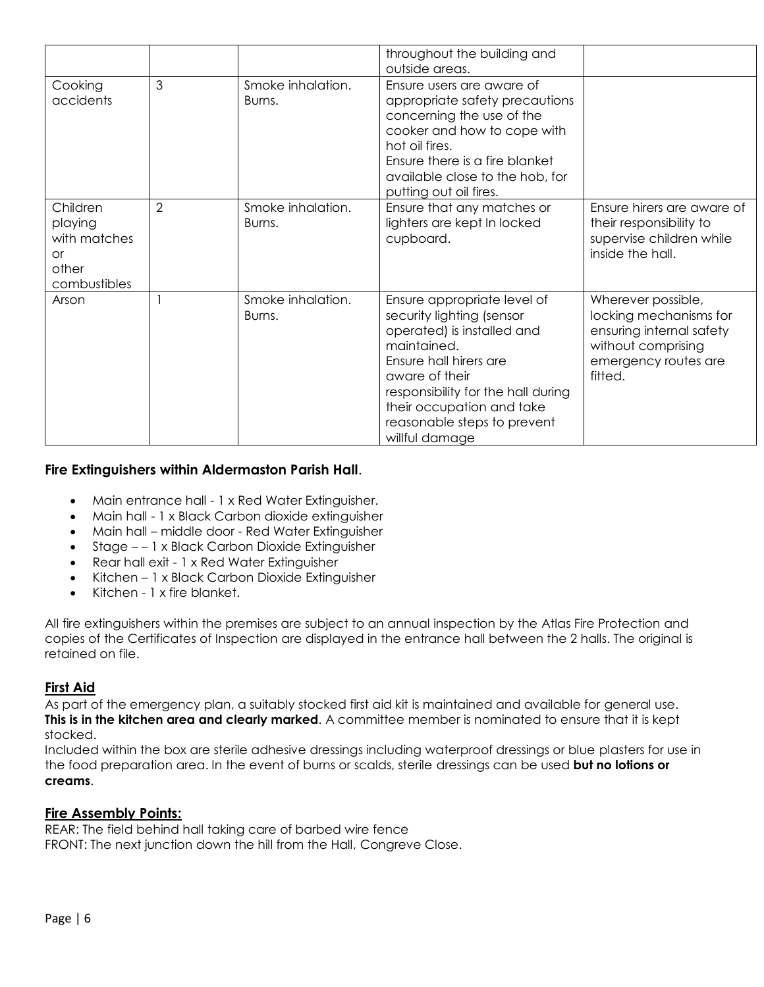|                                                                           |                |                             | throughout the building and<br>outside areas.                                                                                                                                                                                                                         |                                                                                                                                   |
|---------------------------------------------------------------------------|----------------|-----------------------------|-----------------------------------------------------------------------------------------------------------------------------------------------------------------------------------------------------------------------------------------------------------------------|-----------------------------------------------------------------------------------------------------------------------------------|
| Cooking<br>accidents                                                      | 3              | Smoke inhalation.<br>Burns. | Ensure users are aware of<br>appropriate safety precautions<br>concerning the use of the<br>cooker and how to cope with<br>hot oil fires.<br>Ensure there is a fire blanket<br>available close to the hob, for<br>putting out oil fires.                              |                                                                                                                                   |
| Children<br>playing<br>with matches<br><b>or</b><br>other<br>combustibles | $\overline{2}$ | Smoke inhalation.<br>Burns. | Ensure that any matches or<br>lighters are kept In locked<br>cupboard.                                                                                                                                                                                                | Ensure hirers are aware of<br>their responsibility to<br>supervise children while<br>inside the hall.                             |
| Arson                                                                     |                | Smoke inhalation.<br>Burns. | Ensure appropriate level of<br>security lighting (sensor<br>operated) is installed and<br>maintained.<br>Ensure hall hirers are<br>aware of their<br>responsibility for the hall during<br>their occupation and take<br>reasonable steps to prevent<br>willful damage | Wherever possible,<br>locking mechanisms for<br>ensuring internal safety<br>without comprising<br>emergency routes are<br>fitted. |

#### **Fire Extinguishers within Aldermaston Parish Hall**.

- Main entrance hall 1 x Red Water Extinguisher.
- Main hall 1 x Black Carbon dioxide extinguisher
- Main hall middle door Red Water Extinguisher
- Stage – 1 x Black Carbon Dioxide Extinguisher
- Rear hall exit 1 x Red Water Extinguisher
- Kitchen 1 x Black Carbon Dioxide Extinguisher
- $\bullet$  Kitchen 1 x fire blanket.

All fire extinguishers within the premises are subject to an annual inspection by the Atlas Fire Protection and copies of the Certificates of Inspection are displayed in the entrance hall between the 2 halls. The original is retained on file.

#### **First Aid**

As part of the emergency plan, a suitably stocked first aid kit is maintained and available for general use. **This is in the kitchen area and clearly marked**. A committee member is nominated to ensure that it is kept stocked.

Included within the box are sterile adhesive dressings including waterproof dressings or blue plasters for use in the food preparation area. In the event of burns or scalds, sterile dressings can be used **but no lotions or creams**.

#### **Fire Assembly Points:**

REAR: The field behind hall taking care of barbed wire fence FRONT: The next junction down the hill from the Hall, Congreve Close.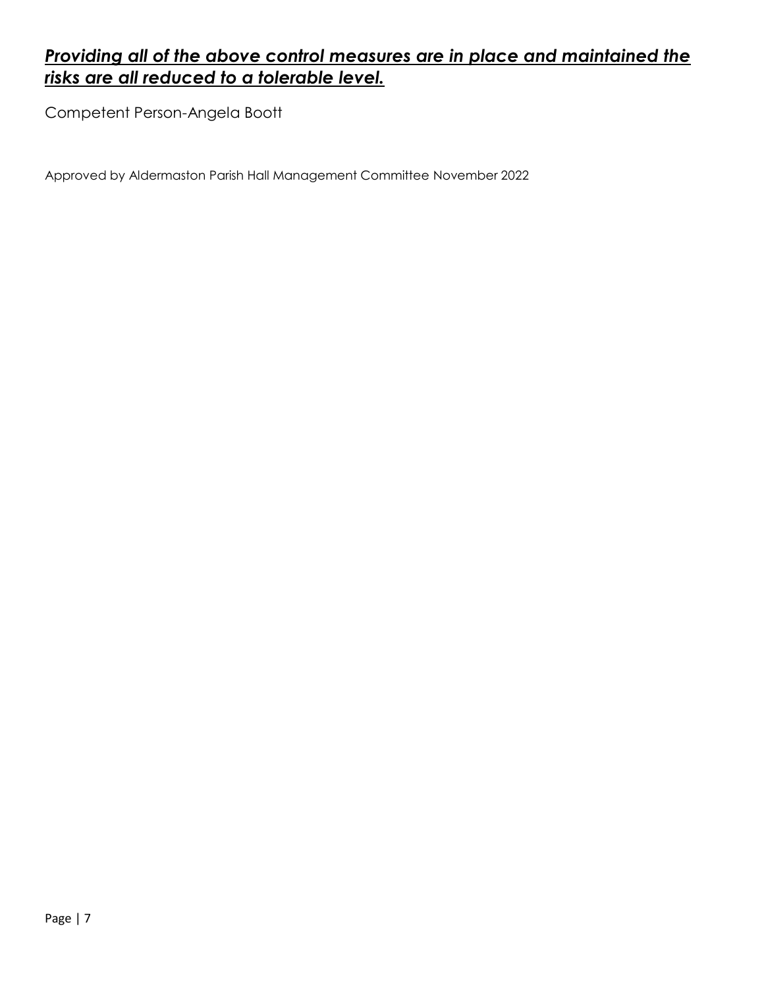# *Providing all of the above control measures are in place and maintained the risks are all reduced to a tolerable level.*

Competent Person-Angela Boott

Approved by Aldermaston Parish Hall Management Committee November 2022